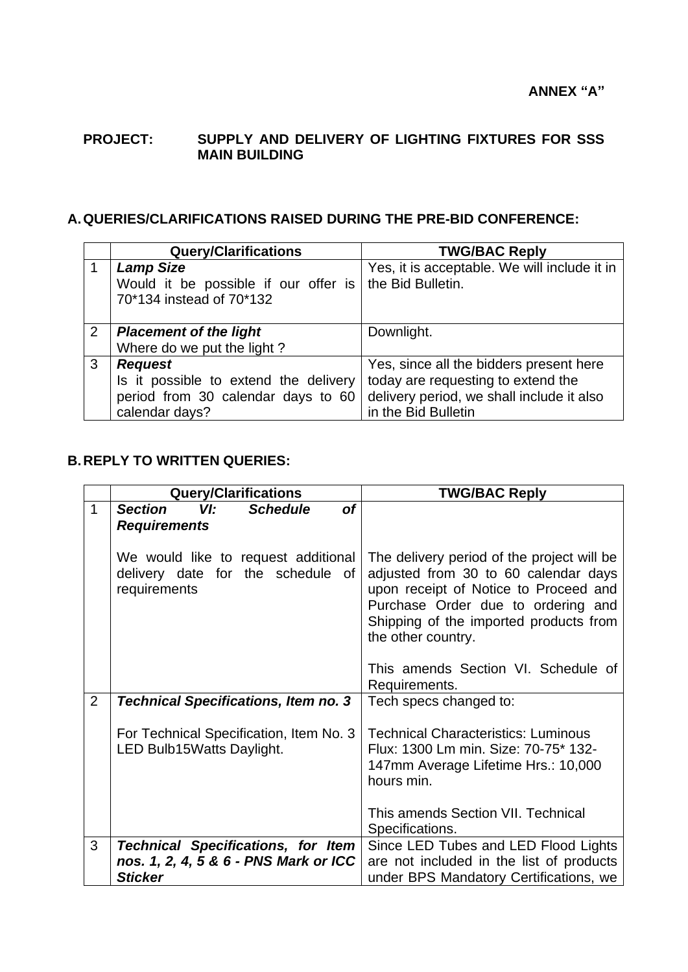## **PROJECT: SUPPLY AND DELIVERY OF LIGHTING FIXTURES FOR SSS MAIN BUILDING**

## **A.QUERIES/CLARIFICATIONS RAISED DURING THE PRE-BID CONFERENCE:**

|                | <b>Query/Clarifications</b>                              | <b>TWG/BAC Reply</b>                                              |
|----------------|----------------------------------------------------------|-------------------------------------------------------------------|
|                | <b>Lamp Size</b><br>Would it be possible if our offer is | Yes, it is acceptable. We will include it in<br>the Bid Bulletin. |
|                | 70*134 instead of 70*132                                 |                                                                   |
| $\overline{2}$ | <b>Placement of the light</b>                            | Downlight.                                                        |
|                | Where do we put the light?                               |                                                                   |
| 3              | <b>Request</b>                                           | Yes, since all the bidders present here                           |
|                | Is it possible to extend the delivery                    | today are requesting to extend the                                |
|                | period from 30 calendar days to 60                       | delivery period, we shall include it also                         |
|                | calendar days?                                           | in the Bid Bulletin                                               |

## **B.REPLY TO WRITTEN QUERIES:**

|              | <b>Query/Clarifications</b>                                                              | <b>TWG/BAC Reply</b>                                                                                                                                                                                                              |
|--------------|------------------------------------------------------------------------------------------|-----------------------------------------------------------------------------------------------------------------------------------------------------------------------------------------------------------------------------------|
| $\mathbf{1}$ | <b>Section</b><br>VI:<br><b>of</b><br><b>Schedule</b>                                    |                                                                                                                                                                                                                                   |
|              | <b>Requirements</b>                                                                      |                                                                                                                                                                                                                                   |
|              | We would like to request additional<br>delivery date for the schedule of<br>requirements | The delivery period of the project will be<br>adjusted from 30 to 60 calendar days<br>upon receipt of Notice to Proceed and<br>Purchase Order due to ordering and<br>Shipping of the imported products from<br>the other country. |
|              |                                                                                          | This amends Section VI. Schedule of<br>Requirements.                                                                                                                                                                              |
| 2            | <b>Technical Specifications, Item no. 3</b>                                              | Tech specs changed to:                                                                                                                                                                                                            |
|              | For Technical Specification, Item No. 3<br>LED Bulb15Watts Daylight.                     | <b>Technical Characteristics: Luminous</b><br>Flux: 1300 Lm min. Size: 70-75* 132-<br>147mm Average Lifetime Hrs.: 10,000<br>hours min.                                                                                           |
|              |                                                                                          | This amends Section VII. Technical<br>Specifications.                                                                                                                                                                             |
| 3            | <b>Technical Specifications, for Item</b>                                                | Since LED Tubes and LED Flood Lights                                                                                                                                                                                              |
|              | nos. 1, 2, 4, 5 & 6 - PNS Mark or ICC<br><b>Sticker</b>                                  | are not included in the list of products                                                                                                                                                                                          |
|              |                                                                                          | under BPS Mandatory Certifications, we                                                                                                                                                                                            |